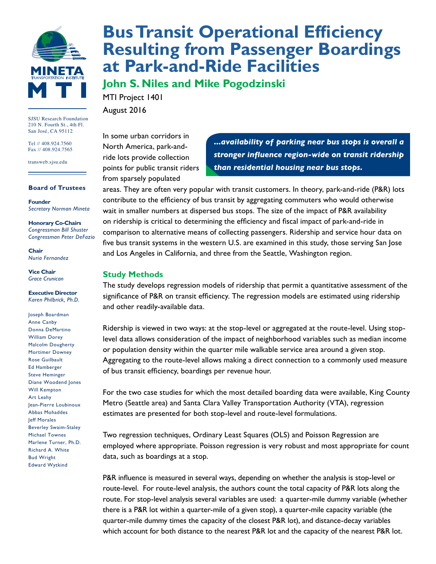

SJSU Research Foundation 210 N. Fourth St., 4th Fl. San José, CA 95112

Tel // 408.924.7560 Fax // 408.924.7565

transweb.sjsu.edu

#### **Board of Trustees**

**Founder** *Secretary Norman Mineta*

**Honorary Co-Chairs** *Congressman Bill Shuster Congressman Peter DeFazio*

**Chair** *Nuria Fernandez*

**Vice Chair** *Grace Crunican*

#### **Executive Director** *Karen Philbrick, Ph.D.*

Joseph Boardman Anne Canby Donna DeMartino William Dorey Malcolm Dougherty Mortimer Downey Rose Guilbault Ed Hamberger Steve Heminger Diane Woodend Jones Will Kempton Art Leahy Jean-Pierre Loubinoux Abbas Mohaddes Jeff Morales Beverley Swaim-Staley Michael Townes Marlene Turner, Ph.D. Richard A. White Bud Wright Edward Wytkind

# **[Bus Transit Operational Efficiency](http://transweb.sjsu.edu/project/1401html)  [Resulting from Passenger Boardings](http://transweb.sjsu.edu/project/1401html)  [at Park-and-Ride Facilities](http://transweb.sjsu.edu/project/1401html)**

**John S. Niles and Mike Pogodzinski**

MTI Project 1401 August 2016

In some urban corridors in North America, park-andride lots provide collection points for public transit riders from sparsely populated

*...availability of parking near bus stops is overall a stronger influence region-wide on transit ridership than residential housing near bus stops.*

areas. They are often very popular with transit customers. In theory, park-and-ride (P&R) lots contribute to the efficiency of bus transit by aggregating commuters who would otherwise wait in smaller numbers at dispersed bus stops. The size of the impact of P&R availability on ridership is critical to determining the efficiency and fiscal impact of park-and-ride in comparison to alternative means of collecting passengers. Ridership and service hour data on five bus transit systems in the western U.S. are examined in this study, those serving San Jose and Los Angeles in California, and three from the Seattle, Washington region.

#### **Study Methods**

The study develops regression models of ridership that permit a quantitative assessment of the significance of P&R on transit efficiency. The regression models are estimated using ridership and other readily-available data.

Ridership is viewed in two ways: at the stop-level or aggregated at the route-level. Using stoplevel data allows consideration of the impact of neighborhood variables such as median income or population density within the quarter mile walkable service area around a given stop. Aggregating to the route-level allows making a direct connection to a commonly used measure of bus transit efficiency, boardings per revenue hour.

For the two case studies for which the most detailed boarding data were available, King County Metro (Seattle area) and Santa Clara Valley Transportation Authority (VTA), regression estimates are presented for both stop-level and route-level formulations.

Two regression techniques, Ordinary Least Squares (OLS) and Poisson Regression are employed where appropriate. Poisson regression is very robust and most appropriate for count data, such as boardings at a stop.

P&R influence is measured in several ways, depending on whether the analysis is stop-level or route-level. For route-level analysis, the authors count the total capacity of P&R lots along the route. For stop-level analysis several variables are used: a quarter-mile dummy variable (whether there is a P&R lot within a quarter-mile of a given stop), a quarter-mile capacity variable (the quarter-mile dummy times the capacity of the closest P&R lot), and distance-decay variables which account for both distance to the nearest P&R lot and the capacity of the nearest P&R lot.